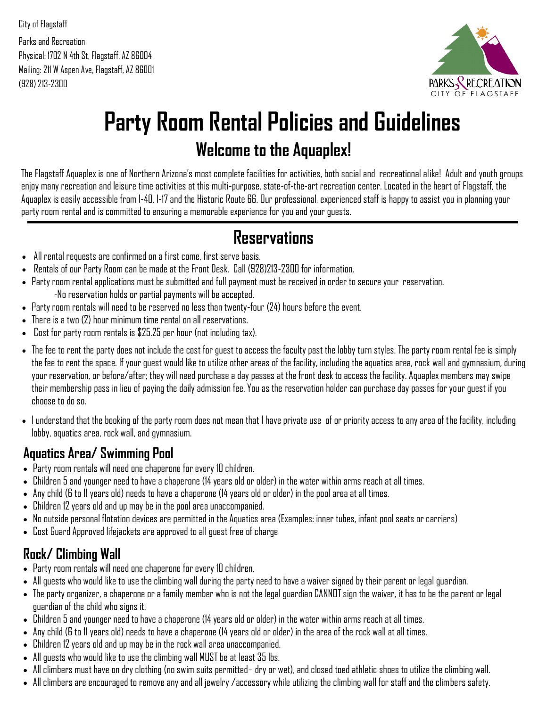City of Flagstaff Parks and Recreation Physical: 1702 N 4th St, Flagstaff, AZ 86004 Mailing: 211 W Aspen Ave, Flagstaff, AZ 86001 (928) 213-2300



# **Party Room Rental Policies and Guidelines Welcome to the Aquaplex!**

The Flagstaff Aquaplex is one of Northern Arizona's most complete facilities for activities, both social and recreational alike! Adult and youth groups enjoy many recreation and leisure time activities at this multi-purpose, state-of-the-art recreation center. Located in the heart of Flagstaff, the Aquaplex is easily accessible from I-40, I-17 and the Historic Route 66. Our professional, experienced staff is happy to assist you in planning your party room rental and is committed to ensuring a memorable experience for you and your guests.

### **Reservations**

- All rental requests are confirmed on a first come, first serve basis.
- Rentals of our Party Room can be made at the Front Desk. Call (928)213-2300 for information.
- Party room rental applications must be submitted and full payment must be received in order to secure your reservation. -No reservation holds or partial payments will be accepted.
- Party room rentals will need to be reserved no less than twenty-four (24) hours before the event.
- There is a two (2) hour minimum time rental on all reservations.
- Cost for party room rentals is \$25.25 per hour (not including tax).
- The fee to rent the party does not include the cost for guest to access the faculty past the lobby turn styles. The party room rental fee is simply the fee to rent the space. If your guest would like to utilize other areas of the facility, including the aquatics area, rock wall and gymnasium, during your reservation, or before/after; they will need purchase a day passes at the front desk to access the facility. Aquaplex members may swipe their membership pass in lieu of paying the daily admission fee. You as the reservation holder can purchase day passes for your guest if you choose to do so.
- I understand that the booking of the party room does not mean that I have private use of or priority access to any area of the facility, including lobby, aquatics area, rock wall, and gymnasium.

### **Aquatics Area/ Swimming Pool**

- Party room rentals will need one chaperone for every 10 children.
- Children 5 and younger need to have a chaperone (14 years old or older) in the water within arms reach at all times.
- Any child (6 to 11 years old) needs to have a chaperone (14 years old or older) in the pool area at all times.
- Children 12 years old and up may be in the pool area unaccompanied.
- No outside personal flotation devices are permitted in the Aquatics area (Examples: inner tubes, infant pool seats or carriers)
- Cost Guard Approved lifejackets are approved to all guest free of charge

### **Rock/ Climbing Wall**

- Party room rentals will need one chaperone for every 10 children.
- All guests who would like to use the climbing wall during the party need to have a waiver signed by their parent or legal guardian.
- The party organizer, a chaperone or a family member who is not the legal guardian CANNOT sign the waiver, it has to be the parent or legal guardian of the child who signs it.
- Children 5 and younger need to have a chaperone (14 years old or older) in the water within arms reach at all times.
- Any child (6 to 11 years old) needs to have a chaperone (14 years old or older) in the area of the rock wall at all times.
- Children 12 years old and up may be in the rock wall area unaccompanied.
- All guests who would like to use the climbing wall MUST be at least 35 lbs.
- All climbers must have on dry clothing (no swim suits permitted– dry or wet), and closed toed athletic shoes to utilize the climbing wall.
- All climbers are encouraged to remove any and all jewelry /accessory while utilizing the climbing wall for staff and the climbers safety.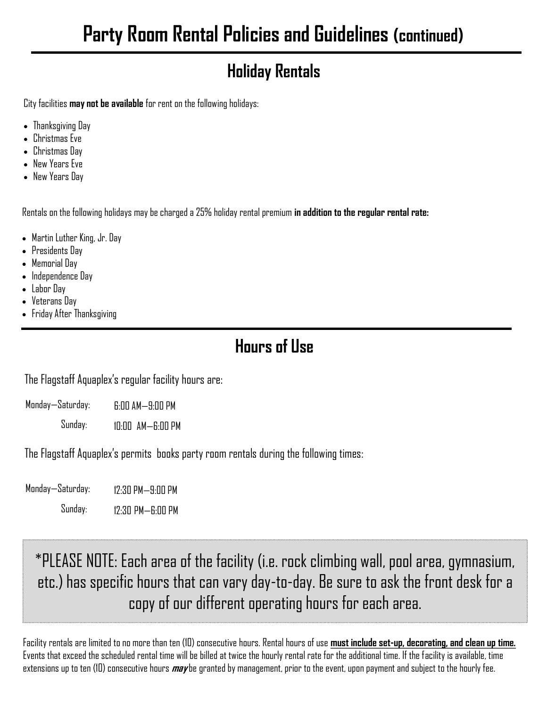## **Holiday Rentals**

City facilities **may not be available** for rent on the following holidays:

- Thanksgiving Day
- Christmas Eve
- Christmas Day
- New Years Eve
- New Years Day

Rentals on the following holidays may be charged a 25% holiday rental premium **in addition to the regular rental rate:**

- Martin Luther King, Jr. Day
- Presidents Day
- Memorial Day
- Independence Day
- Labor Day
- Veterans Day
- Friday After Thanksgiving

### **Hours of Use**

The Flagstaff Aquaplex's regular facility hours are:

| Monday—Saturday: | $6:00$ AM $-9:00$ PM |
|------------------|----------------------|
|                  |                      |

Sunday: 10:00 AM—6:00 PM

The Flagstaff Aquaplex's permits books party room rentals during the following times:

Monday—Saturday: Sunday: 12:30 PM—6:00 PM 12:30 PM—9:00 PM

\*PLEASE NOTE: Each area of the facility (i.e. rock climbing wall, pool area, gymnasium, etc.) has specific hours that can vary day-to-day. Be sure to ask the front desk for a copy of our different operating hours for each area.

Facility rentals are limited to no more than ten (10) consecutive hours. Rental hours of use **must include set-up, decorating, and clean up time.**  Events that exceed the scheduled rental time will be billed at twice the hourly rental rate for the additional time. If the facility is available, time extensions up to ten (10) consecutive hours **may** be granted by management, prior to the event, upon payment and subject to the hourly fee.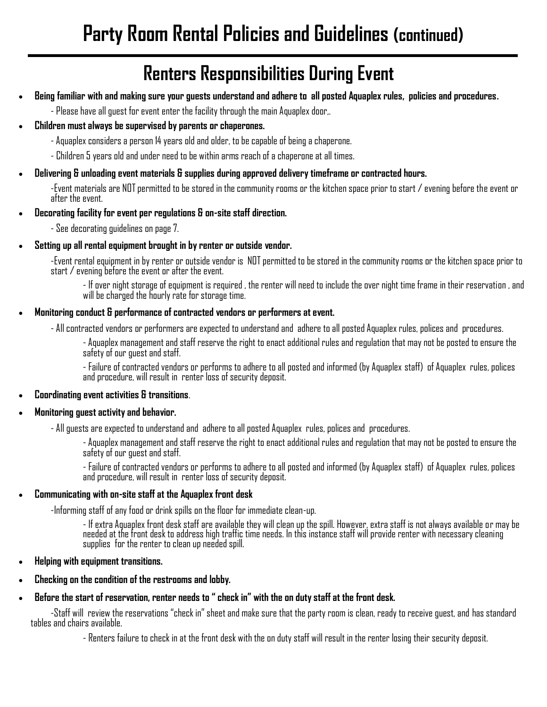## **Renters Responsibilities During Event**

- **Being familiar with and making sure your guests understand and adhere to all posted Aquaplex rules, policies and procedures.** 
	- Please have all guest for event enter the facility through the main Aquaplex door,.
- **Children must always be supervised by parents or chaperones.**
	- Aquaplex considers a person 14 years old and older, to be capable of being a chaperone.
	- Children 5 years old and under need to be within arms reach of a chaperone at all times.

#### • **Delivering & unloading event materials & supplies during approved delivery timeframe or contracted hours.**

-Event materials are NOT permitted to be stored in the community rooms or the kitchen space prior to start / evening before the event or after the event.

• **Decorating facility for event per regulations & on-site staff direction.** 

- See decorating guidelines on page 7.

• **Setting up all rental equipment brought in by renter or outside vendor.**

-Event rental equipment in by renter or outside vendor is NOT permitted to be stored in the community rooms or the kitchen space prior to start / evening before the event or after the event.

- If over night storage of equipment is required , the renter will need to include the over night time frame in their reservation , and will be charged the hourly rate for storage time.

#### • **Monitoring conduct & performance of contracted vendors or performers at event.**

- All contracted vendors or performers are expected to understand and adhere to all posted Aquaplex rules, polices and procedures.

- Aquaplex management and staff reserve the right to enact additional rules and regulation that may not be posted to ensure the safety of our guest and staff.

- Failure of contracted vendors or performs to adhere to all posted and informed (by Aquaplex staff) of Aquaplex rules, polices and procedure, will result in renter loss of security deposit.

#### • **Coordinating event activities & transitions**.

#### • **Monitoring guest activity and behavior.**

- All guests are expected to understand and adhere to all posted Aquaplex rules, polices and procedures.

- Aquaplex management and staff reserve the right to enact additional rules and regulation that may not be posted to ensure the safety of our guest and staff.

- Failure of contracted vendors or performs to adhere to all posted and informed (by Aquaplex staff) of Aquaplex rules, polices and procedure, will result in renter loss of security deposit.

#### • **Communicating with on-site staff at the Aquaplex front desk**

-Informing staff of any food or drink spills on the floor for immediate clean-up.

- If extra Aquaplex front desk staff are available they will clean up the spill. However, extra staff is not always available or may be needed at the front desk to address high traffic time needs. In this instance staff will provide renter with necessary cleaning supplies for the renter to clean up needed spill.

- **Helping with equipment transitions.**
- **Checking on the condition of the restrooms and lobby.**
- **Before the start of reservation, renter needs to " check in" with the on duty staff at the front desk.**

-Staff will review the reservations "check in" sheet and make sure that the party room is clean, ready to receive guest, and has standard tables and chairs available.

- Renters failure to check in at the front desk with the on duty staff will result in the renter losing their security deposit.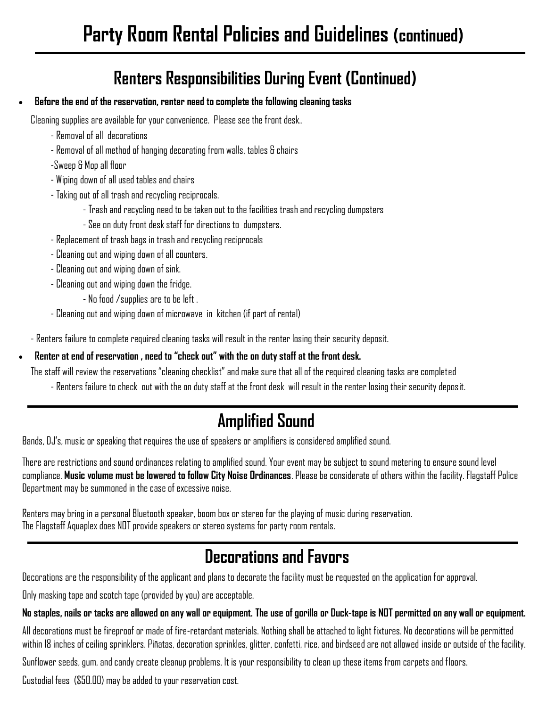### **Renters Responsibilities During Event (Continued)**

#### • **Before the end of the reservation, renter need to complete the following cleaning tasks**

Cleaning supplies are available for your convenience. Please see the front desk..

- Removal of all decorations
- Removal of all method of hanging decorating from walls, tables & chairs
- -Sweep & Mop all floor
- Wiping down of all used tables and chairs
- Taking out of all trash and recycling reciprocals.
	- Trash and recycling need to be taken out to the facilities trash and recycling dumpsters
	- See on duty front desk staff for directions to dumpsters.
- Replacement of trash bags in trash and recycling reciprocals
- Cleaning out and wiping down of all counters.
- Cleaning out and wiping down of sink.
- Cleaning out and wiping down the fridge.
	- No food /supplies are to be left .
- Cleaning out and wiping down of microwave in kitchen (if part of rental)
- Renters failure to complete required cleaning tasks will result in the renter losing their security deposit.

#### • **Renter at end of reservation , need to "check out" with the on duty staff at the front desk.**

The staff will review the reservations "cleaning checklist" and make sure that all of the required cleaning tasks are completed

- Renters failure to check out with the on duty staff at the front desk will result in the renter losing their security deposit.

## **Amplified Sound**

Bands, DJ's, music or speaking that requires the use of speakers or amplifiers is considered amplified sound.

There are restrictions and sound ordinances relating to amplified sound. Your event may be subject to sound metering to ensure sound level compliance. **Music volume must be lowered to follow City Noise Ordinances**. Please be considerate of others within the facility. Flagstaff Police Department may be summoned in the case of excessive noise.

Renters may bring in a personal Bluetooth speaker, boom box or stereo for the playing of music during reservation. The Flagstaff Aquaplex does NOT provide speakers or stereo systems for party room rentals.

## **Decorations and Favors**

Decorations are the responsibility of the applicant and plans to decorate the facility must be requested on the application for approval.

Only masking tape and scotch tape (provided by you) are acceptable.

#### **No staples, nails or tacks are allowed on any wall or equipment. The use of gorilla or Duck-tape is NOT permitted on any wall or equipment.**

All decorations must be fireproof or made of fire-retardant materials. Nothing shall be attached to light fixtures. No decorations will be permitted within 18 inches of ceiling sprinklers. Piñatas, decoration sprinkles, glitter, confetti, rice, and birdseed are not allowed inside or outside of the facility.

Sunflower seeds, gum, and candy create cleanup problems. It is your responsibility to clean up these items from carpets and floors.

Custodial fees (\$50.00) may be added to your reservation cost.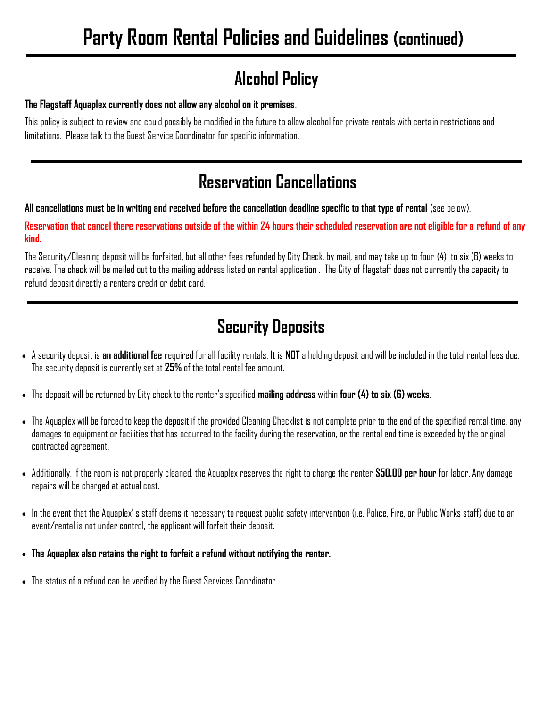### **Alcohol Policy**

#### **The Flagstaff Aquaplex currently does not allow any alcohol on it premises**.

This policy is subject to review and could possibly be modified in the future to allow alcohol for private rentals with certain restrictions and limitations. Please talk to the Guest Service Coordinator for specific information.

### **Reservation Cancellations**

**All cancellations must be in writing and received before the cancellation deadline specific to that type of rental** (see below).

**Reservation that cancel there reservations outside of the within 24 hours their scheduled reservation are not eligible for a refund of any kind.** 

The Security/Cleaning deposit will be forfeited, but all other fees refunded by City Check, by mail, and may take up to four (4) to six (6) weeks to receive. The check will be mailed out to the mailing address listed on rental application . The City of Flagstaff does not currently the capacity to refund deposit directly a renters credit or debit card.

### **Security Deposits**

- A security deposit is **an additional fee** required for all facility rentals. It is **NOT** a holding deposit and will be included in the total rental fees due. The security deposit is currently set at **25%** of the total rental fee amount.
- The deposit will be returned by City check to the renter's specified **mailing address** within **four (4) to six (6) weeks**.
- The Aquaplex will be forced to keep the deposit if the provided Cleaning Checklist is not complete prior to the end of the specified rental time, any damages to equipment or facilities that has occurred to the facility during the reservation, or the rental end time is exceeded by the original contracted agreement.
- Additionally, if the room is not properly cleaned, the Aquaplex reserves the right to charge the renter **\$50.00 per hour** for labor. Any damage repairs will be charged at actual cost.
- In the event that the Aquaplex' s staff deems it necessary to request public safety intervention (i.e. Police, Fire, or Public Works staff) due to an event/rental is not under control, the applicant will forfeit their deposit.
- **The Aquaplex also retains the right to forfeit a refund without notifying the renter.**
- The status of a refund can be verified by the Guest Services Coordinator.